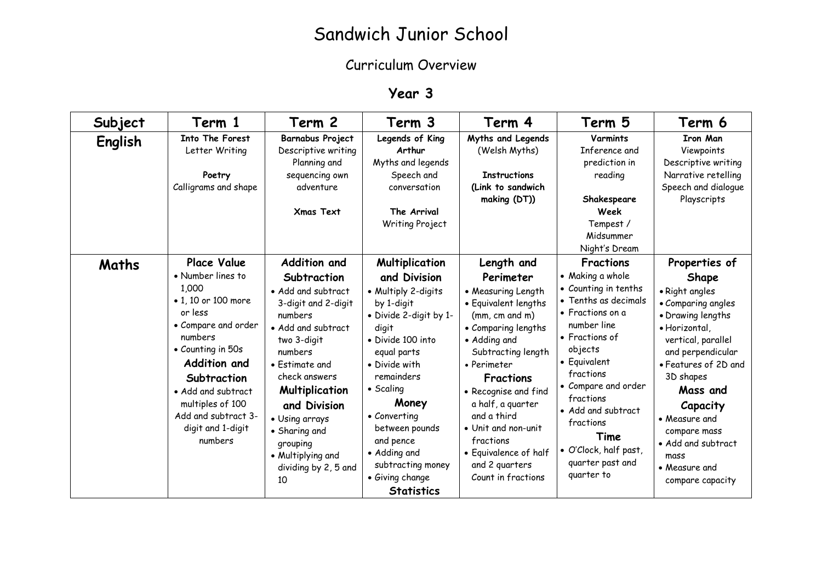## Sandwich Junior School

## Curriculum Overview

## **Year 3**

| Subject | Term 1                                                                                                                                                                                                                                                                    | Term 2                                                                                                                                                                                                                                                                                                     | Term 3                                                                                                                                                                                                                                                                                                                                     | Term 4                                                                                                                                                                                                                                                                                                                                                    | Term 5                                                                                                                                                                                                                                                                                                                              | Term 6                                                                                                                                                                                                                                                                                                           |
|---------|---------------------------------------------------------------------------------------------------------------------------------------------------------------------------------------------------------------------------------------------------------------------------|------------------------------------------------------------------------------------------------------------------------------------------------------------------------------------------------------------------------------------------------------------------------------------------------------------|--------------------------------------------------------------------------------------------------------------------------------------------------------------------------------------------------------------------------------------------------------------------------------------------------------------------------------------------|-----------------------------------------------------------------------------------------------------------------------------------------------------------------------------------------------------------------------------------------------------------------------------------------------------------------------------------------------------------|-------------------------------------------------------------------------------------------------------------------------------------------------------------------------------------------------------------------------------------------------------------------------------------------------------------------------------------|------------------------------------------------------------------------------------------------------------------------------------------------------------------------------------------------------------------------------------------------------------------------------------------------------------------|
| English | Into The Forest<br>Letter Writing<br>Poetry<br>Calligrams and shape                                                                                                                                                                                                       | Barnabus Project<br>Descriptive writing<br>Planning and<br>sequencing own<br>adventure<br><b>Xmas Text</b>                                                                                                                                                                                                 | Legends of King<br>Arthur<br>Myths and legends<br>Speech and<br>conversation<br>The Arrival<br>Writing Project                                                                                                                                                                                                                             | Myths and Legends<br>(Welsh Myths)<br><b>Instructions</b><br>(Link to sandwich<br>making (DT))                                                                                                                                                                                                                                                            | <b>Varmints</b><br>Inference and<br>prediction in<br>reading<br>Shakespeare<br>Week<br>Tempest /<br>Midsummer<br>Night's Dream                                                                                                                                                                                                      | <b>Iron Man</b><br>Viewpoints<br>Descriptive writing<br>Narrative retelling<br>Speech and dialogue<br>Playscripts                                                                                                                                                                                                |
| Maths   | <b>Place Value</b><br>• Number lines to<br>1,000<br>• 1, 10 or 100 more<br>or less<br>• Compare and order<br>numbers<br>• Counting in 50s<br>Addition and<br>Subtraction<br>• Add and subtract<br>multiples of 100<br>Add and subtract 3-<br>digit and 1-digit<br>numbers | Addition and<br>Subtraction<br>· Add and subtract<br>3-digit and 2-digit<br>numbers<br>• Add and subtract<br>two 3-digit<br>numbers<br>• Estimate and<br>check answers<br>Multiplication<br>and Division<br>• Using arrays<br>• Sharing and<br>grouping<br>• Multiplying and<br>dividing by 2, 5 and<br>10 | <b>Multiplication</b><br>and Division<br>• Multiply 2-digits<br>by 1-digit<br>• Divide 2-digit by 1-<br>digit<br>• Divide 100 into<br>equal parts<br>• Divide with<br>remainders<br>$\bullet$ Scaling<br>Money<br>• Converting<br>between pounds<br>and pence<br>• Adding and<br>subtracting money<br>• Giving change<br><b>Statistics</b> | Length and<br>Perimeter<br>• Measuring Length<br>• Equivalent lengths<br>(mm, cm, and m)<br>• Comparing lengths<br>• Adding and<br>Subtracting length<br>• Perimeter<br><b>Fractions</b><br>• Recognise and find<br>a half, a guarter<br>and a third<br>• Unit and non-unit<br>fractions<br>• Equivalence of half<br>and 2 quarters<br>Count in fractions | <b>Fractions</b><br>• Making a whole<br>• Counting in tenths<br>• Tenths as decimals<br>$\bullet$ Fractions on a<br>number line<br>• Fractions of<br>objects<br>• Equivalent<br>fractions<br>• Compare and order<br>fractions<br>• Add and subtract<br>fractions<br>Time<br>· O'Clock, half past,<br>quarter past and<br>quarter to | Properties of<br>Shape<br>• Right angles<br>• Comparing angles<br>• Drawing lengths<br>· Horizontal,<br>vertical, parallel<br>and perpendicular<br>• Features of 2D and<br>3D shapes<br>Mass and<br>Capacity<br>• Measure and<br>compare mass<br>• Add and subtract<br>mass<br>• Measure and<br>compare capacity |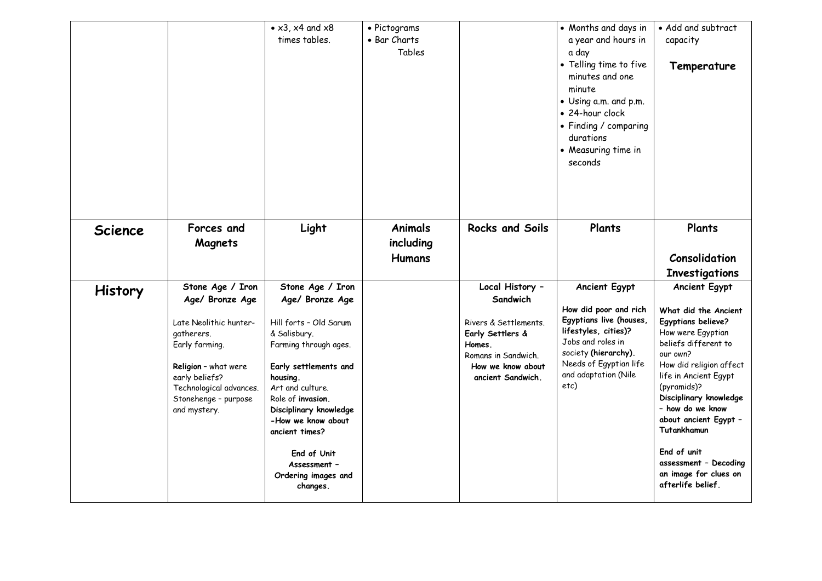|                |                                                                                                                                                                                                            | • $x3$ , $x4$ and $x8$<br>times tables.                                                                                                                                                                                                                                                                                  | • Pictograms<br>• Bar Charts<br>Tables       |                                                                                                                                                     | • Months and days in<br>a year and hours in<br>a day<br>• Telling time to five<br>minutes and one<br>minute<br>• Using a.m. and p.m.<br>• 24-hour clock<br>• Finding / comparing<br>durations<br>• Measuring time in<br>seconds | • Add and subtract<br>capacity<br>Temperature                                                                                                                                                                                                                                                                                                                                     |
|----------------|------------------------------------------------------------------------------------------------------------------------------------------------------------------------------------------------------------|--------------------------------------------------------------------------------------------------------------------------------------------------------------------------------------------------------------------------------------------------------------------------------------------------------------------------|----------------------------------------------|-----------------------------------------------------------------------------------------------------------------------------------------------------|---------------------------------------------------------------------------------------------------------------------------------------------------------------------------------------------------------------------------------|-----------------------------------------------------------------------------------------------------------------------------------------------------------------------------------------------------------------------------------------------------------------------------------------------------------------------------------------------------------------------------------|
| <b>Science</b> | Forces and<br>Magnets                                                                                                                                                                                      | Light                                                                                                                                                                                                                                                                                                                    | <b>Animals</b><br>including<br><b>Humans</b> | <b>Rocks and Soils</b>                                                                                                                              | Plants                                                                                                                                                                                                                          | Plants<br>Consolidation<br><b>Investigations</b>                                                                                                                                                                                                                                                                                                                                  |
| <b>History</b> | Stone Age / Iron<br>Age/ Bronze Age<br>Late Neolithic hunter-<br>gatherers.<br>Early farming.<br>Religion - what were<br>early beliefs?<br>Technological advances.<br>Stonehenge - purpose<br>and mystery. | Stone Age / Iron<br>Age/ Bronze Age<br>Hill forts - Old Sarum<br>& Salisbury.<br>Farming through ages.<br>Early settlements and<br>housing.<br>Art and culture.<br>Role of invasion.<br>Disciplinary knowledge<br>-How we know about<br>ancient times?<br>End of Unit<br>Assessment -<br>Ordering images and<br>changes. |                                              | Local History -<br>Sandwich<br>Rivers & Settlements.<br>Early Settlers &<br>Homes.<br>Romans in Sandwich.<br>How we know about<br>ancient Sandwich. | Ancient Egypt<br>How did poor and rich<br>Egyptians live (houses,<br>lifestyles, cities)?<br>Jobs and roles in<br>society (hierarchy).<br>Needs of Egyptian life<br>and adaptation (Nile<br>etc)                                | <b>Ancient Egypt</b><br>What did the Ancient<br><b>Egyptians believe?</b><br>How were Egyptian<br>beliefs different to<br>our own?<br>How did religion affect<br>life in Ancient Egypt<br>(pyramids)?<br>Disciplinary knowledge<br>- how do we know<br>about ancient Egypt -<br>Tutankhamun<br>End of unit<br>assessment - Decoding<br>an image for clues on<br>afterlife belief. |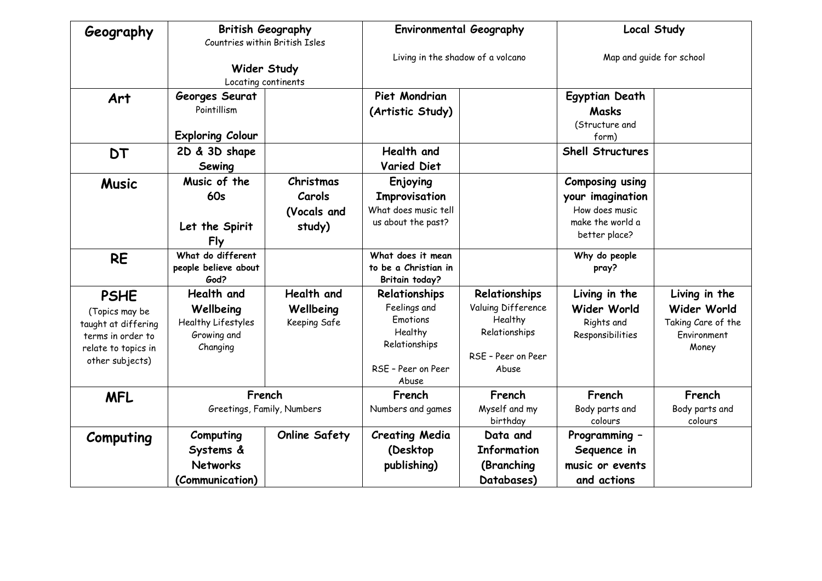| Geography                                                                                                           | <b>British Geography</b><br>Countries within British Isles               |                                              | <b>Environmental Geography</b>                                                                       |                                                                                                | <b>Local Study</b>                                                                                |                                                                            |
|---------------------------------------------------------------------------------------------------------------------|--------------------------------------------------------------------------|----------------------------------------------|------------------------------------------------------------------------------------------------------|------------------------------------------------------------------------------------------------|---------------------------------------------------------------------------------------------------|----------------------------------------------------------------------------|
|                                                                                                                     | Wider Study<br>Locating continents                                       |                                              | Living in the shadow of a volcano                                                                    |                                                                                                | Map and guide for school                                                                          |                                                                            |
| Art                                                                                                                 | Georges Seurat<br>Pointillism<br><b>Exploring Colour</b>                 |                                              | Piet Mondrian<br>(Artistic Study)                                                                    |                                                                                                | <b>Egyptian Death</b><br>Masks<br>(Structure and<br>form)                                         |                                                                            |
| <b>DT</b>                                                                                                           | 2D & 3D shape<br>Sewing                                                  |                                              | Health and<br><b>Varied Diet</b>                                                                     |                                                                                                | <b>Shell Structures</b>                                                                           |                                                                            |
| <b>Music</b>                                                                                                        | Music of the<br>60s<br>Let the Spirit<br>Fly                             | Christmas<br>Carols<br>(Vocals and<br>study) | Enjoying<br>Improvisation<br>What does music tell<br>us about the past?                              |                                                                                                | <b>Composing using</b><br>your imagination<br>How does music<br>make the world a<br>better place? |                                                                            |
| <b>RE</b>                                                                                                           | What do different<br>people believe about<br>God?                        |                                              | What does it mean<br>to be a Christian in<br>Britain today?                                          |                                                                                                | Why do people<br>pray?                                                                            |                                                                            |
| <b>PSHE</b><br>(Topics may be<br>taught at differing<br>terms in order to<br>relate to topics in<br>other subjects) | Health and<br>Wellbeing<br>Healthy Lifestyles<br>Growing and<br>Changing | Health and<br>Wellbeing<br>Keeping Safe      | Relationships<br>Feelings and<br>Emotions<br>Healthy<br>Relationships<br>RSE - Peer on Peer<br>Abuse | Relationships<br>Valuing Difference<br>Healthy<br>Relationships<br>RSE - Peer on Peer<br>Abuse | Living in the<br>Wider World<br>Rights and<br>Responsibilities                                    | Living in the<br>Wider World<br>Taking Care of the<br>Environment<br>Money |
| <b>MFL</b>                                                                                                          | French<br>Greetings, Family, Numbers                                     |                                              | French<br>Numbers and games                                                                          | French<br>Myself and my<br>birthday                                                            | French<br>Body parts and<br>colours                                                               | French<br>Body parts and<br>colours                                        |
| Computing                                                                                                           | Computing<br>Systems &<br><b>Networks</b><br>(Communication)             | <b>Online Safety</b>                         | <b>Creating Media</b><br>(Desktop<br>publishing)                                                     | Data and<br><b>Information</b><br>(Branching<br>Databases)                                     | Programming -<br>Sequence in<br>music or events<br>and actions                                    |                                                                            |